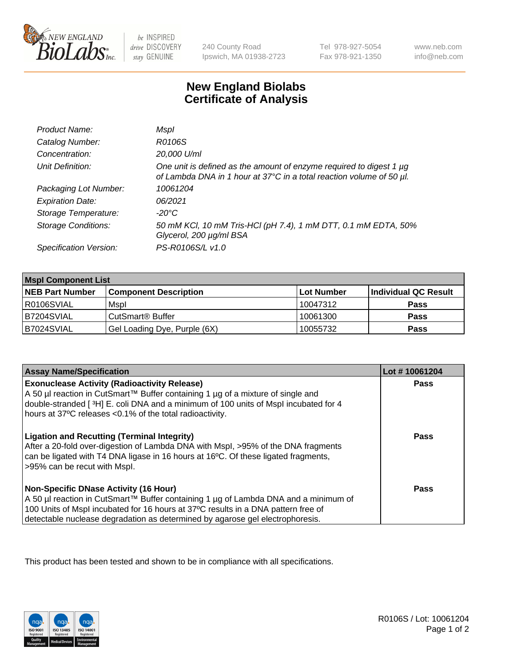

 $be$  INSPIRED drive DISCOVERY stay GENUINE

240 County Road Ipswich, MA 01938-2723 Tel 978-927-5054 Fax 978-921-1350

www.neb.com info@neb.com

## **New England Biolabs Certificate of Analysis**

| Product Name:              | Mspl                                                                                                                                        |
|----------------------------|---------------------------------------------------------------------------------------------------------------------------------------------|
| Catalog Number:            | R0106S                                                                                                                                      |
| Concentration:             | 20,000 U/ml                                                                                                                                 |
| Unit Definition:           | One unit is defined as the amount of enzyme required to digest 1 µg<br>of Lambda DNA in 1 hour at 37°C in a total reaction volume of 50 µl. |
| Packaging Lot Number:      | 10061204                                                                                                                                    |
| <b>Expiration Date:</b>    | 06/2021                                                                                                                                     |
| Storage Temperature:       | -20°C                                                                                                                                       |
| <b>Storage Conditions:</b> | 50 mM KCl, 10 mM Tris-HCl (pH 7.4), 1 mM DTT, 0.1 mM EDTA, 50%<br>Glycerol, 200 µg/ml BSA                                                   |
| Specification Version:     | PS-R0106S/L v1.0                                                                                                                            |

| <b>Mspl Component List</b> |                              |            |                      |  |  |
|----------------------------|------------------------------|------------|----------------------|--|--|
| <b>NEB Part Number</b>     | <b>Component Description</b> | Lot Number | Individual QC Result |  |  |
| R0106SVIAL                 | Mspl                         | 10047312   | <b>Pass</b>          |  |  |
| IB7204SVIAL                | CutSmart <sup>®</sup> Buffer | 10061300   | <b>Pass</b>          |  |  |
| B7024SVIAL                 | Gel Loading Dye, Purple (6X) | 10055732   | <b>Pass</b>          |  |  |

| <b>Assay Name/Specification</b>                                                                                                                                                                                                                                                                             | Lot #10061204 |
|-------------------------------------------------------------------------------------------------------------------------------------------------------------------------------------------------------------------------------------------------------------------------------------------------------------|---------------|
| <b>Exonuclease Activity (Radioactivity Release)</b><br>A 50 µl reaction in CutSmart™ Buffer containing 1 µg of a mixture of single and<br>double-stranded [3H] E. coli DNA and a minimum of 100 units of Mspl incubated for 4<br>hours at 37°C releases <0.1% of the total radioactivity.                   | Pass          |
| <b>Ligation and Recutting (Terminal Integrity)</b><br>After a 20-fold over-digestion of Lambda DNA with Mspl, >95% of the DNA fragments<br>can be ligated with T4 DNA ligase in 16 hours at 16 <sup>o</sup> C. Of these ligated fragments,<br>>95% can be recut with Mspl.                                  | Pass          |
| <b>Non-Specific DNase Activity (16 Hour)</b><br>  A 50 µl reaction in CutSmart™ Buffer containing 1 µg of Lambda DNA and a minimum of<br>100 Units of Mspl incubated for 16 hours at 37°C results in a DNA pattern free of<br>detectable nuclease degradation as determined by agarose gel electrophoresis. | Pass          |

This product has been tested and shown to be in compliance with all specifications.